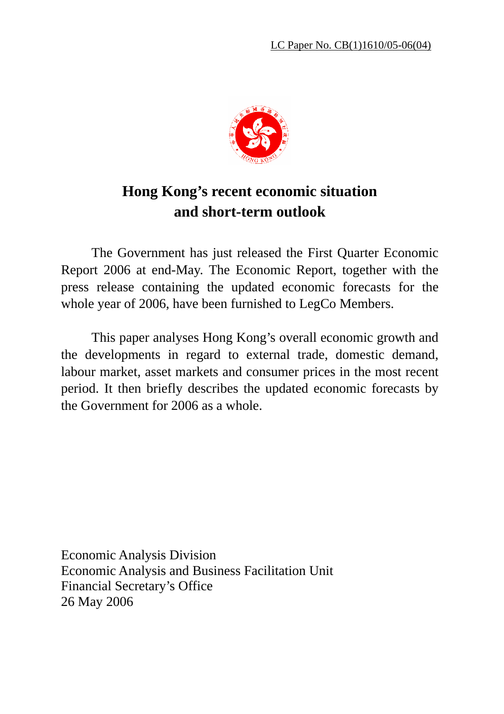

# **Hong Kong's recent economic situation and short-term outlook**

 The Government has just released the First Quarter Economic Report 2006 at end-May. The Economic Report, together with the press release containing the updated economic forecasts for the whole year of 2006, have been furnished to LegCo Members.

 This paper analyses Hong Kong's overall economic growth and the developments in regard to external trade, domestic demand, labour market, asset markets and consumer prices in the most recent period. It then briefly describes the updated economic forecasts by the Government for 2006 as a whole.

Economic Analysis Division Economic Analysis and Business Facilitation Unit Financial Secretary's Office 26 May 2006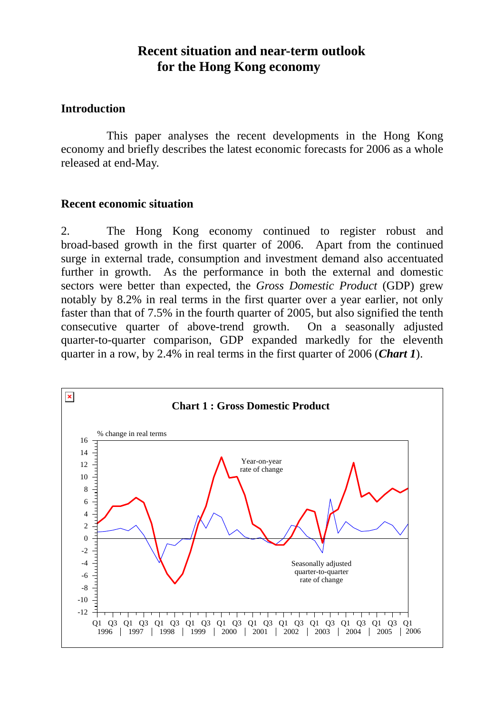## **Recent situation and near-term outlook for the Hong Kong economy**

#### **Introduction**

This paper analyses the recent developments in the Hong Kong economy and briefly describes the latest economic forecasts for 2006 as a whole released at end-May.

#### **Recent economic situation**

2. The Hong Kong economy continued to register robust and broad-based growth in the first quarter of 2006. Apart from the continued surge in external trade, consumption and investment demand also accentuated further in growth. As the performance in both the external and domestic sectors were better than expected, the *Gross Domestic Product* (GDP) grew notably by 8.2% in real terms in the first quarter over a year earlier, not only faster than that of 7.5% in the fourth quarter of 2005, but also signified the tenth consecutive quarter of above-trend growth. On a seasonally adjusted quarter-to-quarter comparison, GDP expanded markedly for the eleventh quarter in a row, by 2.4% in real terms in the first quarter of 2006 (*Chart 1*).

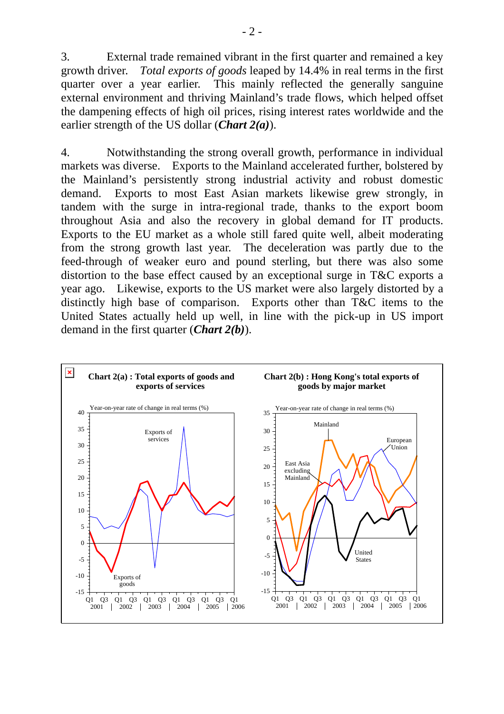3. External trade remained vibrant in the first quarter and remained a key growth driver. *Total exports of goods* leaped by 14.4% in real terms in the first quarter over a year earlier. This mainly reflected the generally sanguine external environment and thriving Mainland's trade flows, which helped offset the dampening effects of high oil prices, rising interest rates worldwide and the earlier strength of the US dollar (*Chart 2(a)*).

4. Notwithstanding the strong overall growth, performance in individual markets was diverse. Exports to the Mainland accelerated further, bolstered by the Mainland's persistently strong industrial activity and robust domestic demand. Exports to most East Asian markets likewise grew strongly, in tandem with the surge in intra-regional trade, thanks to the export boom throughout Asia and also the recovery in global demand for IT products. Exports to the EU market as a whole still fared quite well, albeit moderating from the strong growth last year. The deceleration was partly due to the feed-through of weaker euro and pound sterling, but there was also some distortion to the base effect caused by an exceptional surge in T&C exports a year ago. Likewise, exports to the US market were also largely distorted by a distinctly high base of comparison. Exports other than T&C items to the United States actually held up well, in line with the pick-up in US import demand in the first quarter (*Chart 2(b)*).

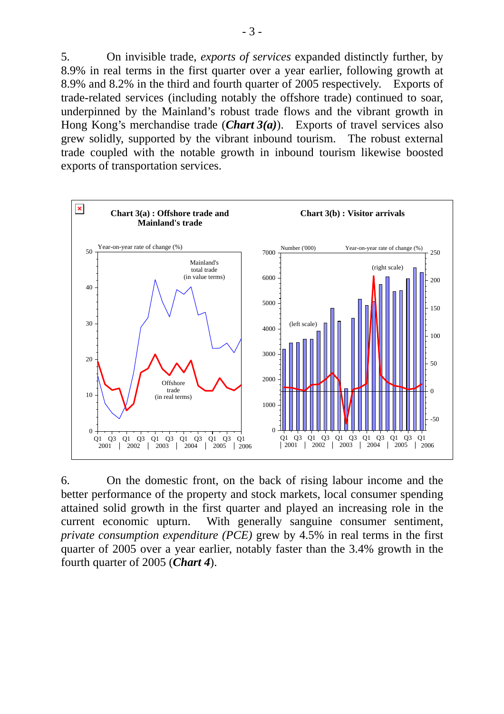5. On invisible trade, *exports of services* expanded distinctly further, by 8.9% in real terms in the first quarter over a year earlier, following growth at 8.9% and 8.2% in the third and fourth quarter of 2005 respectively. Exports of trade-related services (including notably the offshore trade) continued to soar, underpinned by the Mainland's robust trade flows and the vibrant growth in Hong Kong's merchandise trade (*Chart 3(a)*). Exports of travel services also grew solidly, supported by the vibrant inbound tourism. The robust external trade coupled with the notable growth in inbound tourism likewise boosted exports of transportation services.



6. On the domestic front, on the back of rising labour income and the better performance of the property and stock markets, local consumer spending attained solid growth in the first quarter and played an increasing role in the current economic upturn. With generally sanguine consumer sentiment, *private consumption expenditure (PCE)* grew by 4.5% in real terms in the first quarter of 2005 over a year earlier, notably faster than the 3.4% growth in the fourth quarter of 2005 (*Chart 4*).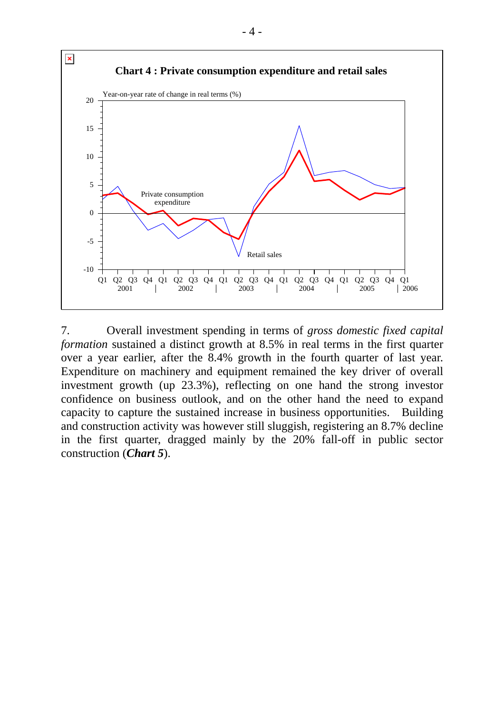

7. Overall investment spending in terms of *gross domestic fixed capital formation* sustained a distinct growth at 8.5% in real terms in the first quarter over a year earlier, after the 8.4% growth in the fourth quarter of last year. Expenditure on machinery and equipment remained the key driver of overall investment growth (up 23.3%), reflecting on one hand the strong investor confidence on business outlook, and on the other hand the need to expand capacity to capture the sustained increase in business opportunities. Building and construction activity was however still sluggish, registering an 8.7% decline in the first quarter, dragged mainly by the 20% fall-off in public sector construction (*Chart 5*).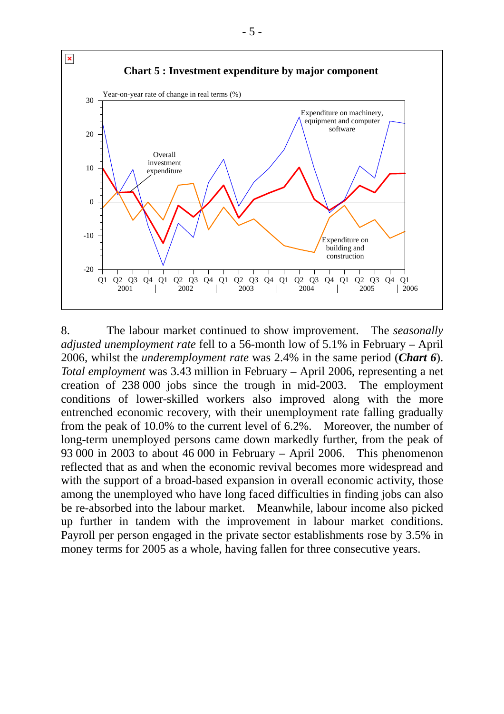

8. The labour market continued to show improvement. The *seasonally adjusted unemployment rate* fell to a 56-month low of 5.1% in February – April 2006, whilst the *underemployment rate* was 2.4% in the same period (*Chart 6*). *Total employment* was 3.43 million in February – April 2006, representing a net creation of 238 000 jobs since the trough in mid-2003. The employment conditions of lower-skilled workers also improved along with the more entrenched economic recovery, with their unemployment rate falling gradually from the peak of 10.0% to the current level of 6.2%. Moreover, the number of long-term unemployed persons came down markedly further, from the peak of 93 000 in 2003 to about 46 000 in February – April 2006. This phenomenon reflected that as and when the economic revival becomes more widespread and with the support of a broad-based expansion in overall economic activity, those among the unemployed who have long faced difficulties in finding jobs can also be re-absorbed into the labour market. Meanwhile, labour income also picked up further in tandem with the improvement in labour market conditions. Payroll per person engaged in the private sector establishments rose by 3.5% in money terms for 2005 as a whole, having fallen for three consecutive years.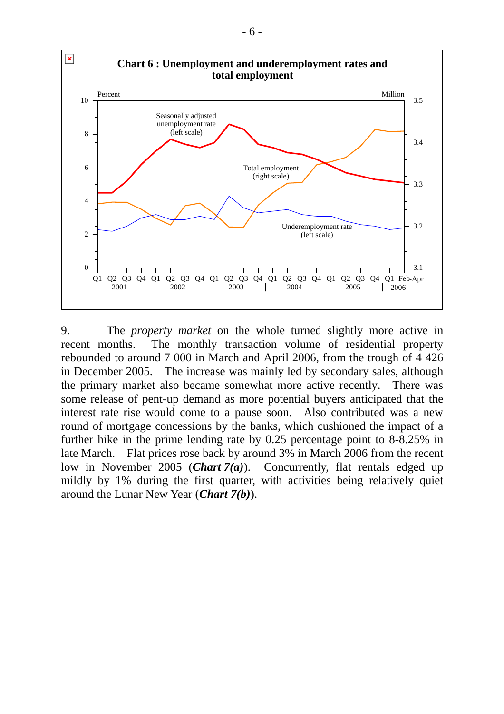

9. The *property market* on the whole turned slightly more active in recent months. The monthly transaction volume of residential property rebounded to around 7 000 in March and April 2006, from the trough of 4 426 in December 2005. The increase was mainly led by secondary sales, although the primary market also became somewhat more active recently. There was some release of pent-up demand as more potential buyers anticipated that the interest rate rise would come to a pause soon. Also contributed was a new round of mortgage concessions by the banks, which cushioned the impact of a further hike in the prime lending rate by 0.25 percentage point to 8-8.25% in late March. Flat prices rose back by around 3% in March 2006 from the recent low in November 2005 (*Chart 7(a)*). Concurrently, flat rentals edged up mildly by 1% during the first quarter, with activities being relatively quiet around the Lunar New Year (*Chart 7(b)*).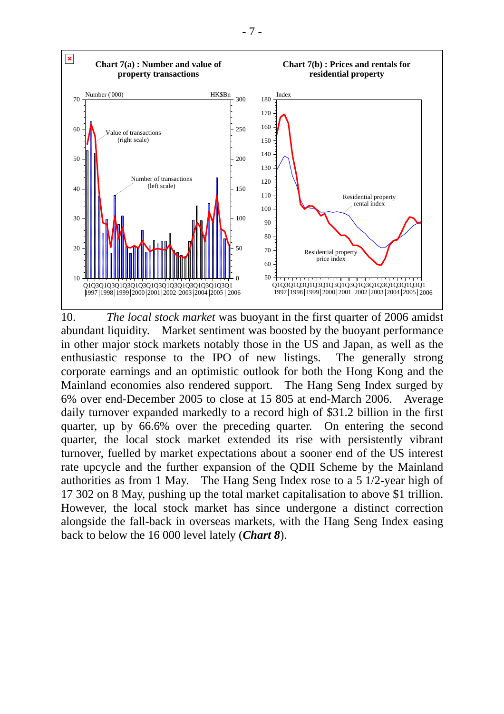

10. *The local stock market* was buoyant in the first quarter of 2006 amidst abundant liquidity. Market sentiment was boosted by the buoyant performance in other major stock markets notably those in the US and Japan, as well as the enthusiastic response to the IPO of new listings. The generally strong corporate earnings and an optimistic outlook for both the Hong Kong and the Mainland economies also rendered support. The Hang Seng Index surged by 6% over end-December 2005 to close at 15 805 at end-March 2006. Average daily turnover expanded markedly to a record high of \$31.2 billion in the first quarter, up by 66.6% over the preceding quarter. On entering the second quarter, the local stock market extended its rise with persistently vibrant turnover, fuelled by market expectations about a sooner end of the US interest rate upcycle and the further expansion of the QDII Scheme by the Mainland authorities as from 1 May. The Hang Seng Index rose to a 5 1/2-year high of 17 302 on 8 May, pushing up the total market capitalisation to above \$1 trillion. However, the local stock market has since undergone a distinct correction alongside the fall-back in overseas markets, with the Hang Seng Index easing back to below the 16 000 level lately (*Chart 8*).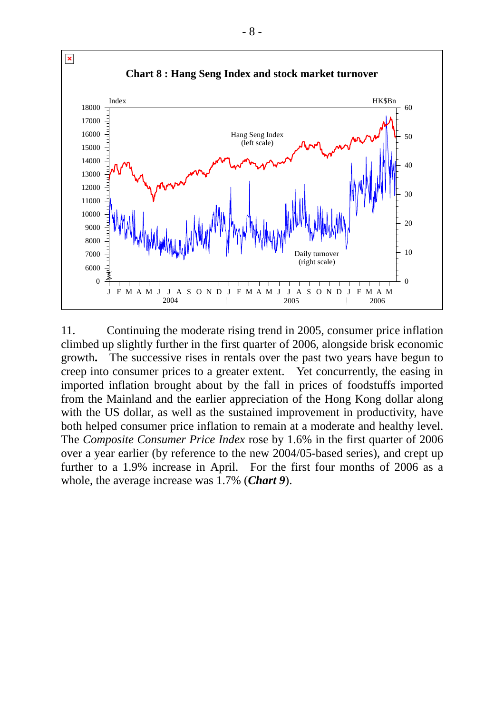

11. Continuing the moderate rising trend in 2005, consumer price inflation climbed up slightly further in the first quarter of 2006, alongside brisk economic growth**.** The successive rises in rentals over the past two years have begun to creep into consumer prices to a greater extent. Yet concurrently, the easing in imported inflation brought about by the fall in prices of foodstuffs imported from the Mainland and the earlier appreciation of the Hong Kong dollar along with the US dollar, as well as the sustained improvement in productivity, have both helped consumer price inflation to remain at a moderate and healthy level. The *Composite Consumer Price Index* rose by 1.6% in the first quarter of 2006 over a year earlier (by reference to the new 2004/05-based series), and crept up further to a 1.9% increase in April. For the first four months of 2006 as a whole, the average increase was 1.7% (*Chart 9*).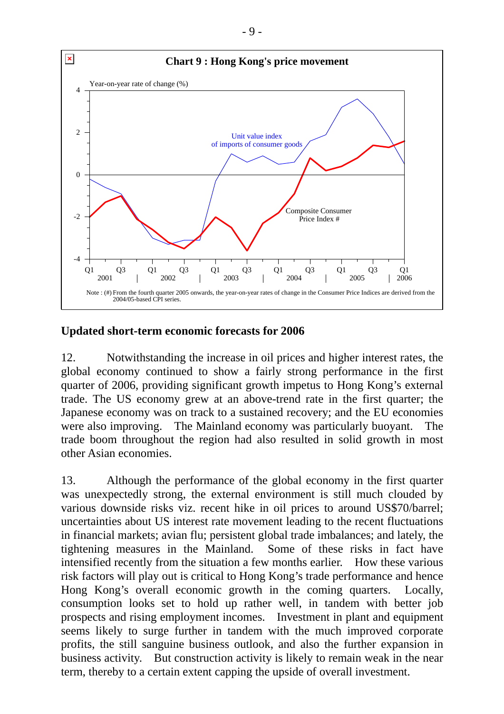

#### **Updated short-term economic forecasts for 2006**

12. Notwithstanding the increase in oil prices and higher interest rates, the global economy continued to show a fairly strong performance in the first quarter of 2006, providing significant growth impetus to Hong Kong's external trade. The US economy grew at an above-trend rate in the first quarter; the Japanese economy was on track to a sustained recovery; and the EU economies were also improving. The Mainland economy was particularly buoyant. The trade boom throughout the region had also resulted in solid growth in most other Asian economies.

13. Although the performance of the global economy in the first quarter was unexpectedly strong, the external environment is still much clouded by various downside risks viz. recent hike in oil prices to around US\$70/barrel; uncertainties about US interest rate movement leading to the recent fluctuations in financial markets; avian flu; persistent global trade imbalances; and lately, the tightening measures in the Mainland. Some of these risks in fact have intensified recently from the situation a few months earlier. How these various risk factors will play out is critical to Hong Kong's trade performance and hence Hong Kong's overall economic growth in the coming quarters. Locally, consumption looks set to hold up rather well, in tandem with better job prospects and rising employment incomes. Investment in plant and equipment seems likely to surge further in tandem with the much improved corporate profits, the still sanguine business outlook, and also the further expansion in business activity. But construction activity is likely to remain weak in the near term, thereby to a certain extent capping the upside of overall investment.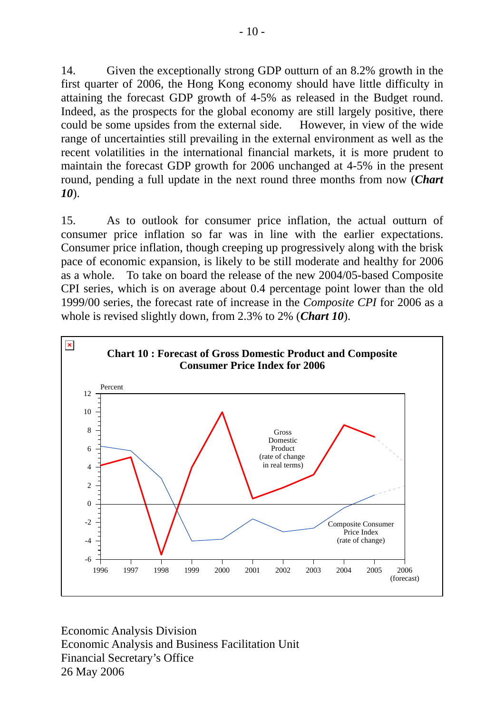14. Given the exceptionally strong GDP outturn of an 8.2% growth in the first quarter of 2006, the Hong Kong economy should have little difficulty in attaining the forecast GDP growth of 4-5% as released in the Budget round. Indeed, as the prospects for the global economy are still largely positive, there could be some upsides from the external side. However, in view of the wide range of uncertainties still prevailing in the external environment as well as the recent volatilities in the international financial markets, it is more prudent to maintain the forecast GDP growth for 2006 unchanged at 4-5% in the present round, pending a full update in the next round three months from now (*Chart 10*).

15. As to outlook for consumer price inflation, the actual outturn of consumer price inflation so far was in line with the earlier expectations. Consumer price inflation, though creeping up progressively along with the brisk pace of economic expansion, is likely to be still moderate and healthy for 2006 as a whole. To take on board the release of the new 2004/05-based Composite CPI series, which is on average about 0.4 percentage point lower than the old 1999/00 series, the forecast rate of increase in the *Composite CPI* for 2006 as a whole is revised slightly down, from 2.3% to 2% (*Chart 10*).



Economic Analysis Division Economic Analysis and Business Facilitation Unit Financial Secretary's Office 26 May 2006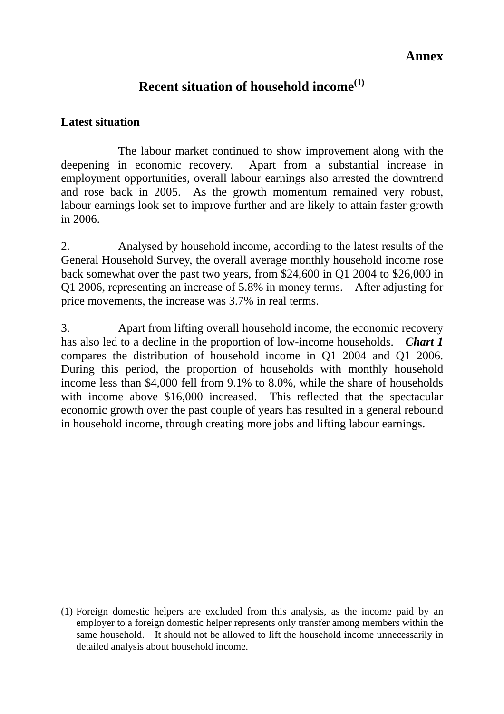### **Annex**

## **Recent situation of household income(1)**

#### **Latest situation**

 The labour market continued to show improvement along with the deepening in economic recovery. Apart from a substantial increase in employment opportunities, overall labour earnings also arrested the downtrend and rose back in 2005. As the growth momentum remained very robust, labour earnings look set to improve further and are likely to attain faster growth in 2006.

2. Analysed by household income, according to the latest results of the General Household Survey, the overall average monthly household income rose back somewhat over the past two years, from \$24,600 in Q1 2004 to \$26,000 in Q1 2006, representing an increase of 5.8% in money terms. After adjusting for price movements, the increase was 3.7% in real terms.

3. Apart from lifting overall household income, the economic recovery has also led to a decline in the proportion of low-income households. *Chart 1* compares the distribution of household income in Q1 2004 and Q1 2006. During this period, the proportion of households with monthly household income less than \$4,000 fell from 9.1% to 8.0%, while the share of households with income above \$16,000 increased. This reflected that the spectacular economic growth over the past couple of years has resulted in a general rebound in household income, through creating more jobs and lifting labour earnings.

 $\overline{a}$ 

<sup>(1)</sup> Foreign domestic helpers are excluded from this analysis, as the income paid by an employer to a foreign domestic helper represents only transfer among members within the same household. It should not be allowed to lift the household income unnecessarily in detailed analysis about household income.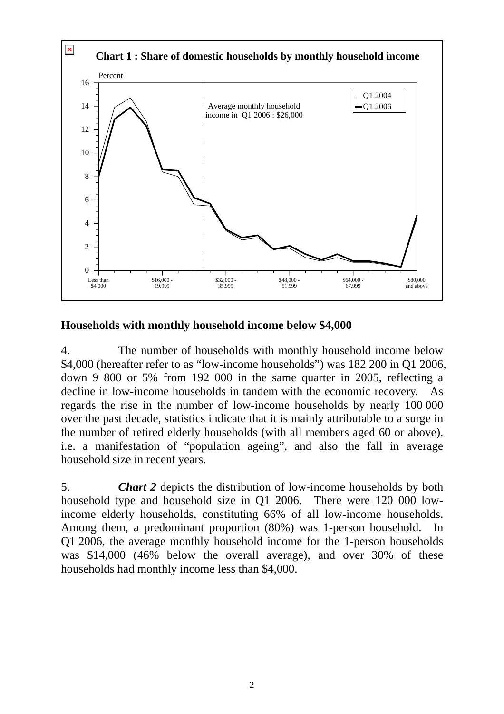

#### **Households with monthly household income below \$4,000**

4. The number of households with monthly household income below \$4,000 (hereafter refer to as "low-income households") was 182 200 in Q1 2006, down 9 800 or 5% from 192 000 in the same quarter in 2005, reflecting a decline in low-income households in tandem with the economic recovery. As regards the rise in the number of low-income households by nearly 100 000 over the past decade, statistics indicate that it is mainly attributable to a surge in the number of retired elderly households (with all members aged 60 or above), i.e. a manifestation of "population ageing", and also the fall in average household size in recent years.

5. *Chart 2* depicts the distribution of low-income households by both household type and household size in Q1 2006. There were 120 000 lowincome elderly households, constituting 66% of all low-income households. Among them, a predominant proportion (80%) was 1-person household. In Q1 2006, the average monthly household income for the 1-person households was \$14,000 (46% below the overall average), and over 30% of these households had monthly income less than \$4,000.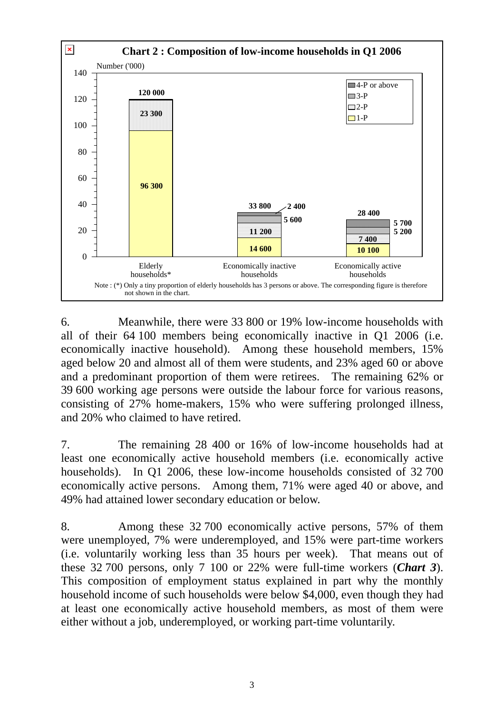

6. Meanwhile, there were 33 800 or 19% low-income households with all of their 64 100 members being economically inactive in Q1 2006 (i.e. economically inactive household). Among these household members, 15% aged below 20 and almost all of them were students, and 23% aged 60 or above and a predominant proportion of them were retirees. The remaining 62% or 39 600 working age persons were outside the labour force for various reasons, consisting of 27% home-makers, 15% who were suffering prolonged illness, and 20% who claimed to have retired.

7. The remaining 28 400 or 16% of low-income households had at least one economically active household members (i.e. economically active households). In Q1 2006, these low-income households consisted of 32 700 economically active persons. Among them, 71% were aged 40 or above, and 49% had attained lower secondary education or below.

8. Among these 32 700 economically active persons, 57% of them were unemployed, 7% were underemployed, and 15% were part-time workers (i.e. voluntarily working less than 35 hours per week). That means out of these 32 700 persons, only 7 100 or 22% were full-time workers (*Chart 3*). This composition of employment status explained in part why the monthly household income of such households were below \$4,000, even though they had at least one economically active household members, as most of them were either without a job, underemployed, or working part-time voluntarily.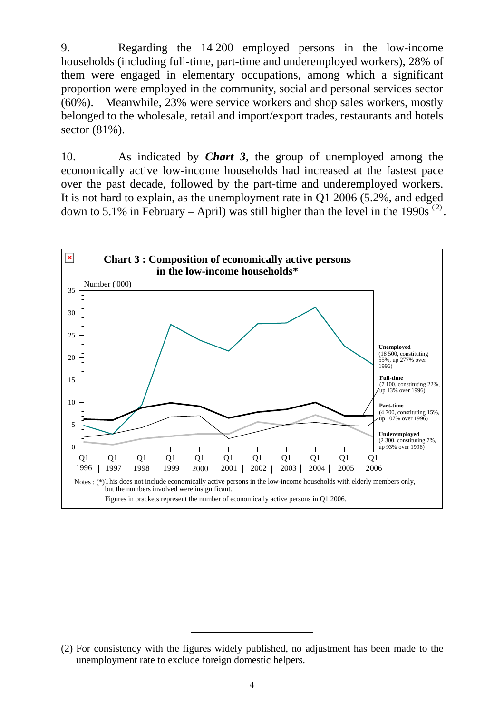9. Regarding the 14 200 employed persons in the low-income households (including full-time, part-time and underemployed workers), 28% of them were engaged in elementary occupations, among which a significant proportion were employed in the community, social and personal services sector (60%). Meanwhile, 23% were service workers and shop sales workers, mostly belonged to the wholesale, retail and import/export trades, restaurants and hotels sector (81%).

10. As indicated by *Chart 3*, the group of unemployed among the economically active low-income households had increased at the fastest pace over the past decade, followed by the part-time and underemployed workers. It is not hard to explain, as the unemployment rate in Q1 2006 (5.2%, and edged down to 5.1% in February – April) was still higher than the level in the 1990s<sup>(2)</sup>.



 $\overline{a}$ 

<sup>(2)</sup> For consistency with the figures widely published, no adjustment has been made to the unemployment rate to exclude foreign domestic helpers.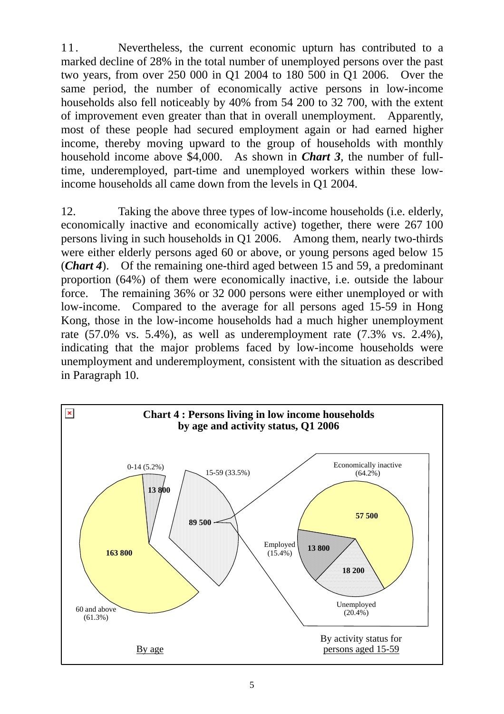11. Nevertheless, the current economic upturn has contributed to a marked decline of 28% in the total number of unemployed persons over the past two years, from over 250 000 in Q1 2004 to 180 500 in Q1 2006. Over the same period, the number of economically active persons in low-income households also fell noticeably by 40% from 54 200 to 32 700, with the extent of improvement even greater than that in overall unemployment. Apparently, most of these people had secured employment again or had earned higher income, thereby moving upward to the group of households with monthly household income above \$4,000. As shown in *Chart 3*, the number of fulltime, underemployed, part-time and unemployed workers within these lowincome households all came down from the levels in Q1 2004.

12. Taking the above three types of low-income households (i.e. elderly, economically inactive and economically active) together, there were 267 100 persons living in such households in Q1 2006. Among them, nearly two-thirds were either elderly persons aged 60 or above, or young persons aged below 15 (*Chart 4*). Of the remaining one-third aged between 15 and 59, a predominant proportion (64%) of them were economically inactive, i.e. outside the labour force. The remaining 36% or 32 000 persons were either unemployed or with low-income. Compared to the average for all persons aged 15-59 in Hong Kong, those in the low-income households had a much higher unemployment rate (57.0% vs. 5.4%), as well as underemployment rate (7.3% vs. 2.4%), indicating that the major problems faced by low-income households were unemployment and underemployment, consistent with the situation as described in Paragraph 10.